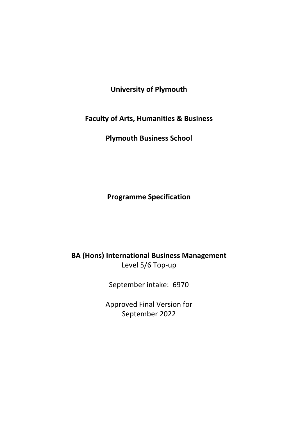**University of Plymouth**

**Faculty of Arts, Humanities & Business**

**Plymouth Business School** 

**Programme Specification**

**BA (Hons) International Business Management** Level 5/6 Top-up

September intake: 6970

Approved Final Version for September 2022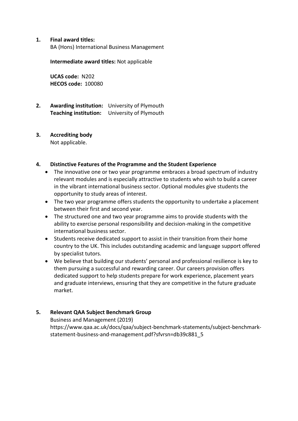#### **1. Final award titles:**

BA (Hons) International Business Management

**Intermediate award titles:** Not applicable

**UCAS code:** N202 **HECOS code:** 100080

**2. Awarding institution:** University of Plymouth **Teaching institution:** University of Plymouth

# **3. Accrediting body**

Not applicable.

## **4. Distinctive Features of the Programme and the Student Experience**

- The innovative one or two year programme embraces a broad spectrum of industry relevant modules and is especially attractive to students who wish to build a career in the vibrant international business sector. Optional modules give students the opportunity to study areas of interest.
- The two year programme offers students the opportunity to undertake a placement between their first and second year.
- The structured one and two year programme aims to provide students with the ability to exercise personal responsibility and decision-making in the competitive international business sector.
- Students receive dedicated support to assist in their transition from their home country to the UK. This includes outstanding academic and language support offered by specialist tutors.
- We believe that building our students' personal and professional resilience is key to them pursuing a successful and rewarding career. Our careers provision offers dedicated support to help students prepare for work experience, placement years and graduate interviews, ensuring that they are competitive in the future graduate market.

## **5. Relevant QAA Subject Benchmark Group**

Business and Management (2019) [https://www.qaa.ac.uk/docs/qaa/subject-benchmark-statements/subject-benchmark](https://www.qaa.ac.uk/docs/qaa/subject-benchmark-statements/subject-benchmark-statement-business-and-management.pdf?sfvrsn=db39c881_5)[statement-business-and-management.pdf?sfvrsn=db39c881\\_5](https://www.qaa.ac.uk/docs/qaa/subject-benchmark-statements/subject-benchmark-statement-business-and-management.pdf?sfvrsn=db39c881_5)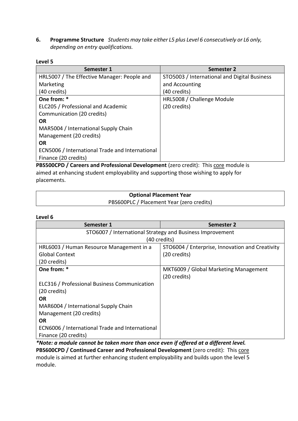**6. Programme Structure** *Students may take either L5 plus Level 6 consecutively or L6 only, depending on entry qualifications.*

#### **Level 5**

| Semester 1                                      | Semester 2                                   |
|-------------------------------------------------|----------------------------------------------|
| HRL5007 / The Effective Manager: People and     | STO5003 / International and Digital Business |
| Marketing                                       | and Accounting                               |
| (40 credits)                                    | (40 credits)                                 |
| One from: *                                     | HRL5008 / Challenge Module                   |
| ELC205 / Professional and Academic              | (20 credits)                                 |
| Communication (20 credits)                      |                                              |
| OR.                                             |                                              |
| MAR5004 / International Supply Chain            |                                              |
| Management (20 credits)                         |                                              |
| <b>OR</b>                                       |                                              |
| ECN5006 / International Trade and International |                                              |
| Finance (20 credits)                            |                                              |
|                                                 |                                              |

**PBS500CPD / Careers and Professional Development** (zero credit): This core module is aimed at enhancing student employability and supporting those wishing to apply for placements.

| <b>Optional Placement Year</b>            |  |
|-------------------------------------------|--|
| PBS600PLC / Placement Year (zero credits) |  |

#### **Level 6**

| Semester 1                                      | Semester 2                                                |  |  |  |  |  |  |  |  |  |
|-------------------------------------------------|-----------------------------------------------------------|--|--|--|--|--|--|--|--|--|
|                                                 | STO6007 / International Strategy and Business Improvement |  |  |  |  |  |  |  |  |  |
|                                                 | (40 credits)                                              |  |  |  |  |  |  |  |  |  |
| HRL6003 / Human Resource Management in a        | STO6004 / Enterprise, Innovation and Creativity           |  |  |  |  |  |  |  |  |  |
| <b>Global Context</b>                           | (20 credits)                                              |  |  |  |  |  |  |  |  |  |
| (20 credits)                                    |                                                           |  |  |  |  |  |  |  |  |  |
| One from: *                                     | MKT6009 / Global Marketing Management                     |  |  |  |  |  |  |  |  |  |
|                                                 | (20 credits)                                              |  |  |  |  |  |  |  |  |  |
| ELC316 / Professional Business Communication    |                                                           |  |  |  |  |  |  |  |  |  |
| (20 credits)                                    |                                                           |  |  |  |  |  |  |  |  |  |
| <b>OR</b>                                       |                                                           |  |  |  |  |  |  |  |  |  |
| MAR6004 / International Supply Chain            |                                                           |  |  |  |  |  |  |  |  |  |
| Management (20 credits)                         |                                                           |  |  |  |  |  |  |  |  |  |
| <b>OR</b>                                       |                                                           |  |  |  |  |  |  |  |  |  |
| ECN6006 / International Trade and International |                                                           |  |  |  |  |  |  |  |  |  |
| Finance (20 credits)                            |                                                           |  |  |  |  |  |  |  |  |  |

*\*Note: a module cannot be taken more than once even if offered at a different level.*  **PBS600CPD / Continued Career and Professional Development** (zero credit): This core module is aimed at further enhancing student employability and builds upon the level 5 module.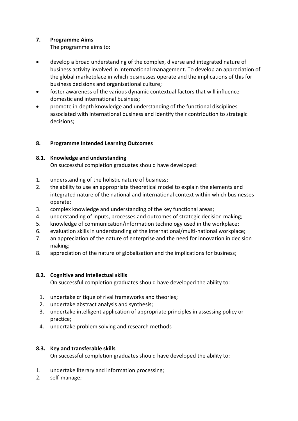## **7. Programme Aims**

The programme aims to:

- develop a broad understanding of the complex, diverse and integrated nature of business activity involved in international management. To develop an appreciation of the global marketplace in which businesses operate and the implications of this for business decisions and organisational culture;
- foster awareness of the various dynamic contextual factors that will influence domestic and international business;
- promote in-depth knowledge and understanding of the functional disciplines associated with international business and identify their contribution to strategic decisions;

## **8. Programme Intended Learning Outcomes**

## **8.1. Knowledge and understanding**

On successful completion graduates should have developed:

- 1. understanding of the holistic nature of business;
- 2. the ability to use an appropriate theoretical model to explain the elements and integrated nature of the national and international context within which businesses operate;
- 3. complex knowledge and understanding of the key functional areas;
- 4. understanding of inputs, processes and outcomes of strategic decision making;
- 5. knowledge of communication/information technology used in the workplace;
- 6. evaluation skills in understanding of the international/multi-national workplace;
- 7. an appreciation of the nature of enterprise and the need for innovation in decision making;
- 8. appreciation of the nature of globalisation and the implications for business;

## **8.2. Cognitive and intellectual skills**

On successful completion graduates should have developed the ability to:

- 1. undertake critique of rival frameworks and theories;
- 2. undertake abstract analysis and synthesis;
- 3. undertake intelligent application of appropriate principles in assessing policy or practice;
- 4. undertake problem solving and research methods

## **8.3. Key and transferable skills**

On successful completion graduates should have developed the ability to:

- 1. undertake literary and information processing;
- 2. self-manage;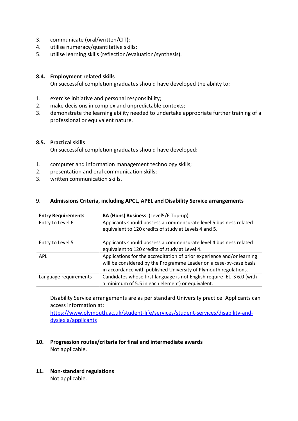- 3. communicate (oral/written/CIT);
- 4. utilise numeracy/quantitative skills;
- 5. utilise learning skills (reflection/evaluation/synthesis).

#### **8.4. Employment related skills**

On successful completion graduates should have developed the ability to:

- 1. exercise initiative and personal responsibility;
- 2. make decisions in complex and unpredictable contexts;
- 3. demonstrate the learning ability needed to undertake appropriate further training of a professional or equivalent nature.

#### **8.5. Practical skills**

On successful completion graduates should have developed:

- 1. computer and information management technology skills;
- 2. presentation and oral communication skills;
- 3. written communication skills.

#### 9. **Admissions Criteria, including APCL, APEL and Disability Service arrangements**

| <b>Entry Requirements</b> | BA (Hons) Business (Level5/6 Top-up)                                   |
|---------------------------|------------------------------------------------------------------------|
| Entry to Level 6          | Applicants should possess a commensurate level 5 business related      |
|                           | equivalent to 120 credits of study at Levels 4 and 5.                  |
| Entry to Level 5          | Applicants should possess a commensurate level 4 business related      |
|                           | equivalent to 120 credits of study at Level 4.                         |
| <b>APL</b>                | Applications for the accreditation of prior experience and/or learning |
|                           | will be considered by the Programme Leader on a case-by-case basis     |
|                           | in accordance with published University of Plymouth regulations.       |
| Language requirements     | Candidates whose first language is not English require IELTS 6.0 (with |
|                           | a minimum of 5.5 in each element) or equivalent.                       |

Disability Service arrangements are as per standard University practice. Applicants can access information at:

[https://www.plymouth.ac.uk/student-life/services/student-services/disability-and](https://www.plymouth.ac.uk/student-life/services/student-services/disability-and-dyslexia/applicants)[dyslexia/applicants](https://www.plymouth.ac.uk/student-life/services/student-services/disability-and-dyslexia/applicants)

## **10. Progression routes/criteria for final and intermediate awards** Not applicable.

**11. Non-standard regulations** Not applicable.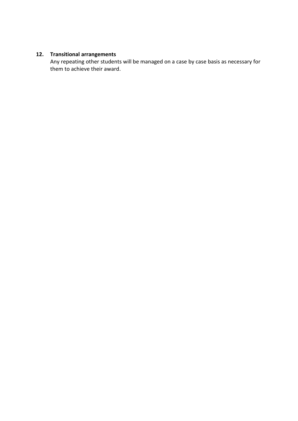## **12. Transitional arrangements**

Any repeating other students will be managed on a case by case basis as necessary for them to achieve their award.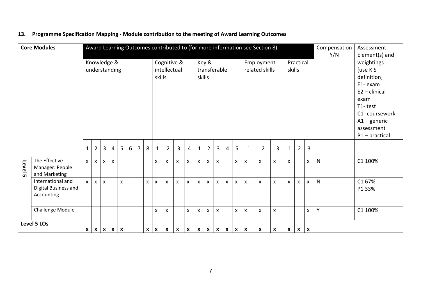|         | <b>Core Modules</b>                                     |                  |                              |              |                           |                |                 |   |                                       |              |                       |                    |                                                 |                           |                              |                     |                |                           |                           | Award Learning Outcomes contributed to (for more information see Section 8)                                                                                        |                    |              |                           |                | Compensation<br>Y/N | Assessment<br>Element(s) and |
|---------|---------------------------------------------------------|------------------|------------------------------|--------------|---------------------------|----------------|-----------------|---|---------------------------------------|--------------|-----------------------|--------------------|-------------------------------------------------|---------------------------|------------------------------|---------------------|----------------|---------------------------|---------------------------|--------------------------------------------------------------------------------------------------------------------------------------------------------------------|--------------------|--------------|---------------------------|----------------|---------------------|------------------------------|
|         |                                                         |                  | Knowledge &<br>understanding |              |                           |                |                 |   | Cognitive &<br>intellectual<br>skills | skills       | Key &<br>transferable |                    |                                                 |                           | Employment<br>related skills | Practical<br>skills |                |                           |                           | weightings<br><b>[use KIS</b><br>definition]<br>E1-exam<br>$E2 -$ clinical<br>exam<br>T1-test<br>C1-coursework<br>$A1 -$ generic<br>assessment<br>$P1$ – practical |                    |              |                           |                |                     |                              |
|         |                                                         | $\mathbf{1}$     | $\overline{2}$               | $\mathbf{3}$ | 4                         | 5 <sup>5</sup> | $6\overline{6}$ | 7 | 8                                     | $\mathbf{1}$ | $\overline{2}$        | 3                  | 4                                               | $\mathbf 1$               | $\overline{2}$               | $\mathbf{3}$        | $\overline{4}$ | 5                         | $\mathbf{1}$              | $\overline{2}$                                                                                                                                                     | 3                  | $\mathbf{1}$ | $\overline{2}$            | $\overline{3}$ |                     |                              |
| Level 5 | The Effective<br>Manager: People<br>and Marketing       | $\mathsf{x}$     | $\mathsf{x}$                 | $\mathsf{x}$ | $\boldsymbol{\mathsf{x}}$ |                |                 |   |                                       | X            | X                     | $\pmb{\mathsf{x}}$ | $\pmb{\mathsf{X}}$                              | $\boldsymbol{\mathsf{X}}$ | $\pmb{\mathsf{X}}$           | $\mathsf{x}$        |                | X                         | $\pmb{\times}$            | $\mathsf{x}$                                                                                                                                                       | $\pmb{\mathsf{X}}$ | $\mathsf{X}$ |                           | X              | $\mathsf{N}$        | C1 100%                      |
|         | International and<br>Digital Business and<br>Accounting | $\mathsf{x}$     | $\mathsf{x}$                 | $\mathsf{X}$ |                           | $\mathsf{x}$   |                 |   | $\mathsf{X}$                          | X            | $\pmb{\mathsf{x}}$    | $\mathsf{x}$       | $\mathsf{x}$                                    | $\mathsf{x}$              | $\mathsf{x}$                 | $\mathsf{X}^-$      | $\mathsf{X}$   | $\mathsf{x}$              | $\mathsf{x}$              | $\boldsymbol{\mathsf{x}}$                                                                                                                                          | $\mathsf{x}$       | $\mathsf{X}$ | $\mathsf{x}$              | $\mathsf{x}$   | $\mathsf{N}$        | C1 67%<br>P1 33%             |
|         | <b>Challenge Module</b>                                 |                  |                              |              |                           |                |                 |   |                                       | X            | X                     |                    | $\mathsf{x}$                                    | $\pmb{\times}$            | $\mathsf{X}$                 | $\mathsf{x}$        |                | X                         | $\pmb{\times}$            | X                                                                                                                                                                  | X                  |              |                           | $\pmb{\times}$ | Y                   | C1 100%                      |
|         | Level 5 LOs                                             | $\boldsymbol{x}$ | $\mathbf{x}$                 |              | $X \mid X \mid X$         |                |                 |   | $\boldsymbol{x}$                      | $\mathbf{x}$ | $\mathbf{x}$          | $\mathbf x$        | $\vert x \vert x \vert x \vert x \vert x \vert$ |                           |                              |                     |                | $\boldsymbol{\mathsf{x}}$ | $\boldsymbol{\mathsf{x}}$ | X                                                                                                                                                                  | $\pmb{\mathsf{x}}$ | $\mathbf{x}$ | $\boldsymbol{\mathsf{x}}$ | $\mathbf x$    |                     |                              |

# **13. Programme Specification Mapping - Module contribution to the meeting of Award Learning Outcomes**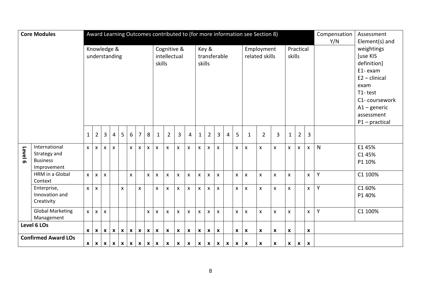|         | <b>Core Modules</b>                   | Award Learning Outcomes contributed to (for more information see Section 8) |                           |                |                           |              |              |                           |                           |                    |                    |                           |                           |                    |                           | Compensation<br>Assessment<br>Y/N<br>Element(s) and |              |                           |                          |                           |                           |              |                           |                           |              |                  |
|---------|---------------------------------------|-----------------------------------------------------------------------------|---------------------------|----------------|---------------------------|--------------|--------------|---------------------------|---------------------------|--------------------|--------------------|---------------------------|---------------------------|--------------------|---------------------------|-----------------------------------------------------|--------------|---------------------------|--------------------------|---------------------------|---------------------------|--------------|---------------------------|---------------------------|--------------|------------------|
|         |                                       | Knowledge &                                                                 |                           |                |                           |              |              |                           |                           |                    |                    | Cognitive &               |                           |                    | Key &                     |                                                     |              |                           |                          | Employment                |                           |              | Practical                 |                           |              | weightings       |
|         |                                       |                                                                             | understanding             |                |                           |              |              |                           |                           |                    | intellectual       |                           |                           |                    | transferable              |                                                     |              |                           | related skills<br>skills |                           |                           |              |                           |                           |              | <b>[use KIS</b>  |
|         |                                       |                                                                             |                           |                |                           |              |              |                           |                           | skills             |                    |                           |                           | skills             |                           |                                                     |              |                           |                          |                           |                           |              |                           |                           |              | definition]      |
|         |                                       |                                                                             |                           |                |                           |              |              |                           |                           |                    |                    |                           |                           |                    |                           |                                                     |              |                           |                          |                           |                           |              | E1-exam                   |                           |              |                  |
|         |                                       |                                                                             |                           |                |                           |              |              |                           |                           |                    |                    |                           |                           |                    |                           |                                                     |              |                           |                          |                           |                           |              |                           |                           |              | $E2 -$ clinical  |
|         |                                       |                                                                             |                           |                |                           |              |              |                           |                           |                    |                    |                           |                           |                    |                           |                                                     |              |                           |                          |                           |                           |              |                           |                           |              | exam             |
|         |                                       |                                                                             |                           |                |                           |              |              |                           |                           |                    |                    |                           |                           |                    |                           |                                                     |              |                           |                          |                           |                           |              | T1-test                   |                           |              |                  |
|         |                                       |                                                                             |                           |                |                           |              |              |                           |                           |                    |                    |                           |                           |                    |                           |                                                     |              |                           |                          |                           |                           |              |                           |                           |              | C1-coursework    |
|         |                                       |                                                                             |                           |                |                           |              |              |                           |                           |                    |                    |                           |                           |                    |                           |                                                     |              |                           |                          |                           |                           |              |                           |                           |              | $A1 -$ generic   |
|         |                                       |                                                                             |                           |                |                           |              |              |                           |                           |                    |                    |                           |                           |                    |                           |                                                     |              |                           |                          |                           |                           |              |                           |                           |              | assessment       |
|         |                                       |                                                                             |                           |                |                           |              |              |                           |                           |                    |                    |                           |                           |                    |                           |                                                     |              |                           |                          |                           |                           |              |                           |                           |              | $P1$ – practical |
|         |                                       |                                                                             |                           |                |                           |              |              |                           |                           |                    |                    |                           |                           |                    |                           |                                                     |              |                           |                          |                           |                           |              |                           |                           |              |                  |
|         |                                       | $\mathbf{1}$                                                                | $\overline{2}$            | 3              | $\overline{4}$            | 5            | 6            | $\overline{7}$            | 8                         | $\mathbf{1}$       | $\overline{2}$     | $\overline{3}$            | 4                         | $\mathbf{1}$       | $\overline{2}$            | 3                                                   | 4            | 5                         | $\mathbf{1}$             | $\overline{2}$            | 3                         | $\mathbf{1}$ | $\overline{2}$            | $\overline{3}$            |              |                  |
|         | International                         | $\mathsf{x}$                                                                | $\mathsf{X}$              | $\mathsf{x}$   | $\mathsf{x}$              |              | $\mathsf{X}$ | $\mathsf{x}$              | $\mathsf{x}$              | $\mathsf{x}$       | $\mathsf{x}$       | $\boldsymbol{\mathsf{x}}$ | $\boldsymbol{\mathsf{x}}$ | $\mathsf{x}$       | $\mathsf{x}$              | $\mathsf{X}$                                        |              | $\mathsf{x}$              | $\pmb{\times}$           | $\boldsymbol{\mathsf{x}}$ | $\mathsf{x}$              | $\mathsf{x}$ | $\mathsf{x}$              | X                         | $\mathsf{N}$ | E145%            |
| Level 6 | Strategy and                          |                                                                             |                           |                |                           |              |              |                           |                           |                    |                    |                           |                           |                    |                           |                                                     |              |                           |                          |                           |                           |              |                           |                           |              | C1 45%           |
|         | <b>Business</b>                       |                                                                             |                           |                |                           |              |              |                           |                           |                    |                    |                           |                           |                    |                           |                                                     |              |                           |                          |                           |                           |              |                           |                           |              | P1 10%           |
|         | Improvement                           |                                                                             |                           |                |                           |              |              |                           |                           |                    |                    |                           |                           |                    |                           |                                                     |              |                           |                          |                           |                           |              |                           |                           |              |                  |
|         | HRM in a Global<br>Context            | $\mathsf{x}$                                                                | $\pmb{\times}$            | $\pmb{\times}$ |                           |              | X            |                           | $\pmb{\mathsf{X}}$        | $\pmb{\mathsf{X}}$ | $\pmb{\mathsf{x}}$ | $\pmb{\times}$            | $\boldsymbol{\mathsf{x}}$ | $\pmb{\mathsf{X}}$ | $\pmb{\mathsf{x}}$        | $\pmb{\mathsf{X}}$                                  |              | $\pmb{\times}$            | $\pmb{\mathsf{X}}$       | $\pmb{\times}$            | $\pmb{\mathsf{X}}$        | X            |                           | X                         | Y            | C1 100%          |
|         | Enterprise,                           | $\overline{\mathsf{x}}$                                                     | $\mathsf{x}$              |                |                           | $\mathsf{x}$ |              | $\mathsf{x}$              |                           | $\mathsf{x}$       | $\mathsf{x}$       | $\boldsymbol{\mathsf{x}}$ | $\boldsymbol{\mathsf{x}}$ | X                  | $\mathsf{x}$              | $\mathsf{X}$                                        |              | $\mathsf{x}$              | $\pmb{\times}$           | $\boldsymbol{\mathsf{x}}$ | $\boldsymbol{\mathsf{x}}$ | X.           |                           | $\mathsf{x}$              | $\mathsf{Y}$ | C1 60%           |
|         | Innovation and<br>Creativity          |                                                                             |                           |                |                           |              |              |                           |                           |                    |                    |                           |                           |                    |                           |                                                     |              |                           |                          |                           |                           |              |                           |                           |              | P1 40%           |
|         | <b>Global Marketing</b><br>Management | $\mathsf{x}$                                                                | $\boldsymbol{\mathsf{X}}$ | $\mathsf{x}$   |                           |              |              |                           | X                         | X                  | $\mathsf{x}$       | $\boldsymbol{\mathsf{x}}$ | $\boldsymbol{\mathsf{x}}$ | $\mathsf{x}$       | $\mathsf{x}$              | $\mathsf{x}$                                        |              | $\mathsf{x}$              | $\pmb{\times}$           | $\boldsymbol{\mathsf{x}}$ | $\pmb{\times}$            | $\mathsf{X}$ |                           | X                         | $\mathsf{Y}$ | C1 100%          |
|         | Level 6 LOs                           |                                                                             |                           |                |                           |              |              |                           |                           |                    |                    |                           |                           |                    |                           |                                                     |              |                           |                          |                           |                           |              |                           |                           |              |                  |
|         |                                       | $\mathbf{x}$                                                                | $\boldsymbol{\mathsf{x}}$ | $\mathbf{x}$   | $\boldsymbol{\mathsf{x}}$ | $\mathbf{x}$ | $\mathsf{x}$ | $\boldsymbol{\mathsf{x}}$ | $\boldsymbol{\mathsf{x}}$ | X                  | X                  | $\pmb{\mathsf{X}}$        | $\boldsymbol{\mathsf{x}}$ | X                  | $\boldsymbol{\mathsf{x}}$ | X                                                   |              | X                         | $\boldsymbol{x}$         | X                         | X                         | X            |                           | X                         |              |                  |
|         | <b>Confirmed Award LOs</b>            |                                                                             |                           |                |                           |              |              |                           |                           |                    |                    |                           |                           |                    |                           |                                                     |              |                           |                          |                           |                           |              |                           |                           |              |                  |
|         |                                       | $x \mid x \mid x \mid x \mid x \mid x$<br>$x \mid x \mid x$<br>$\mathbf{x}$ |                           |                |                           |              |              |                           |                           |                    |                    | $\boldsymbol{x}$          | $\mathbf{x}$              | $\mathbf{x}$       | $\mathbf{x}$              | $\mathbf{x}$                                        | $\mathbf{x}$ | $\boldsymbol{\mathsf{x}}$ | X                        | $\pmb{\mathsf{x}}$        | X                         | $\mathbf{x}$ | $\boldsymbol{\mathsf{x}}$ | $\boldsymbol{\mathsf{x}}$ |              |                  |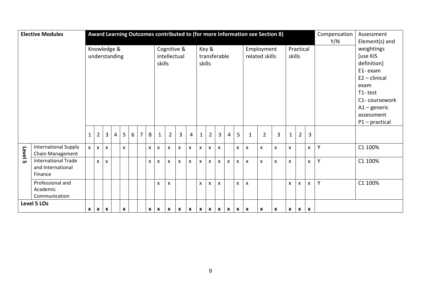|                                                                                              | <b>Elective Modules</b>     | Award Learning Outcomes contributed to (for more information see Section 8) |                |                           |                |   |   |   |                           |                           |                |                |                           |              |                           | Compensation              | Assessment     |                           |                           |                    |                    |              |                |                    |                  |                 |
|----------------------------------------------------------------------------------------------|-----------------------------|-----------------------------------------------------------------------------|----------------|---------------------------|----------------|---|---|---|---------------------------|---------------------------|----------------|----------------|---------------------------|--------------|---------------------------|---------------------------|----------------|---------------------------|---------------------------|--------------------|--------------------|--------------|----------------|--------------------|------------------|-----------------|
|                                                                                              |                             |                                                                             |                |                           |                |   |   |   |                           |                           |                |                |                           |              |                           |                           |                |                           |                           |                    |                    |              |                |                    | Y/N              | Element(s) and  |
|                                                                                              |                             |                                                                             | Knowledge &    |                           |                |   |   |   |                           |                           | Cognitive &    |                |                           |              | Key &                     |                           |                |                           |                           | Employment         |                    |              | Practical      |                    |                  | weightings      |
|                                                                                              |                             |                                                                             | understanding  |                           |                |   |   |   |                           |                           | intellectual   |                |                           |              | transferable              |                           |                |                           | related skills<br>skills  |                    |                    |              |                |                    |                  | [use KIS        |
|                                                                                              |                             |                                                                             |                |                           |                |   |   |   |                           | skills                    |                |                |                           |              | skills                    |                           |                |                           |                           |                    |                    |              |                |                    |                  | definition]     |
|                                                                                              |                             |                                                                             |                |                           |                |   |   |   |                           |                           |                |                |                           |              |                           |                           |                |                           |                           |                    |                    |              |                |                    |                  | E1-exam         |
|                                                                                              |                             |                                                                             |                |                           |                |   |   |   |                           |                           |                |                |                           |              |                           |                           |                |                           |                           |                    |                    |              |                |                    |                  | $E2$ – clinical |
|                                                                                              |                             |                                                                             |                |                           |                |   |   |   |                           |                           |                |                |                           |              |                           |                           |                |                           |                           |                    |                    |              |                |                    |                  | exam            |
|                                                                                              |                             |                                                                             |                |                           |                |   |   |   |                           |                           |                |                |                           |              |                           |                           |                |                           |                           |                    |                    |              |                |                    |                  | T1-test         |
|                                                                                              |                             |                                                                             |                |                           |                |   |   |   |                           |                           |                |                |                           |              |                           |                           |                |                           |                           |                    |                    |              |                |                    |                  | C1-coursework   |
|                                                                                              |                             |                                                                             |                |                           |                |   |   |   |                           |                           |                |                |                           |              |                           |                           |                |                           |                           |                    |                    |              |                |                    |                  | $A1 -$ generic  |
|                                                                                              |                             |                                                                             |                |                           |                |   |   |   |                           |                           |                |                |                           |              |                           |                           |                |                           |                           |                    |                    |              |                |                    |                  | assessment      |
|                                                                                              |                             |                                                                             |                |                           |                |   |   |   |                           |                           |                |                |                           |              |                           |                           |                |                           |                           |                    |                    |              |                |                    | $P1$ – practical |                 |
|                                                                                              |                             |                                                                             |                |                           |                |   |   |   |                           |                           |                |                |                           |              |                           |                           |                |                           |                           |                    |                    |              |                |                    |                  |                 |
|                                                                                              |                             | $\mathbf 1$                                                                 | $\overline{2}$ | $\overline{3}$            | $\overline{4}$ | 5 | 6 | 7 | 8                         | $\mathbf 1$               | $\overline{2}$ | $\overline{3}$ | $\overline{4}$            | $\mathbf{1}$ | $\overline{2}$            | $\overline{3}$            | $\overline{4}$ | 5                         | $\mathbf{1}$              | $\overline{2}$     | $\overline{3}$     | $\mathbf{1}$ | $\overline{2}$ | $\overline{3}$     |                  |                 |
|                                                                                              | <b>International Supply</b> | $\mathsf{x}^-$                                                              | $\mathsf{X}$   | $\mathsf{x}$              |                | X |   |   | $\boldsymbol{\mathsf{x}}$ | X                         | X              | X              | $\boldsymbol{\mathsf{x}}$ | X            | $\boldsymbol{\mathsf{x}}$ | $\pmb{\mathsf{X}}$        |                | $\mathsf{x}$              | $\pmb{\times}$            | $\pmb{\mathsf{X}}$ | $\pmb{\mathsf{X}}$ | X            |                | $\pmb{\mathsf{X}}$ | Y                | C1 100%         |
| Level 5                                                                                      | Chain Management            |                                                                             |                |                           |                |   |   |   |                           |                           |                |                |                           |              |                           |                           |                |                           |                           |                    |                    |              |                |                    |                  |                 |
|                                                                                              | <b>International Trade</b>  |                                                                             | $\mathsf{X}$   | $\boldsymbol{\mathsf{x}}$ |                |   |   |   | $\pmb{\times}$            | X                         | X              | X              | X                         | X            | $\boldsymbol{\mathsf{x}}$ | X                         | $\mathsf{X}$   | X                         | X                         | X                  | $\pmb{\mathsf{X}}$ | X            |                | $\pmb{\mathsf{X}}$ | Y                | C1 100%         |
|                                                                                              | and International           |                                                                             |                |                           |                |   |   |   |                           |                           |                |                |                           |              |                           |                           |                |                           |                           |                    |                    |              |                |                    |                  |                 |
|                                                                                              | Finance                     |                                                                             |                |                           |                |   |   |   |                           |                           |                |                |                           |              |                           |                           |                |                           |                           |                    |                    |              |                |                    |                  |                 |
|                                                                                              | Professional and            |                                                                             |                |                           |                |   |   |   |                           | X                         | X              |                |                           | X            | X                         | $\mathsf{X}$              |                | $\boldsymbol{\mathsf{x}}$ | $\boldsymbol{\mathsf{X}}$ |                    |                    | $\mathsf{x}$ | X              | $\mathsf{x}$       | Y                | C1 100%         |
|                                                                                              | Academic                    |                                                                             |                |                           |                |   |   |   |                           |                           |                |                |                           |              |                           |                           |                |                           |                           |                    |                    |              |                |                    |                  |                 |
|                                                                                              | Communication               |                                                                             |                |                           |                |   |   |   |                           |                           |                |                |                           |              |                           |                           |                |                           |                           |                    |                    |              |                |                    |                  |                 |
| Level 5 LOs<br>$\boldsymbol{\mathsf{x}}$<br>$\boldsymbol{x}$<br>$\mathbf{x}$<br>$\mathbf{x}$ |                             |                                                                             |                |                           |                |   |   |   | $\mathbf{x}$              | $\boldsymbol{\mathsf{x}}$ | X              | X              | $\boldsymbol{x}$          | $\mathbf{x}$ | $\mathbf{x}$              | $\boldsymbol{\mathsf{x}}$ | $\mathbf{X}$   | $\mathbf{x}$              | $\mathbf{x}$              | X                  | X                  | $\mathbf{x}$ | $x \mid x$     |                    |                  |                 |